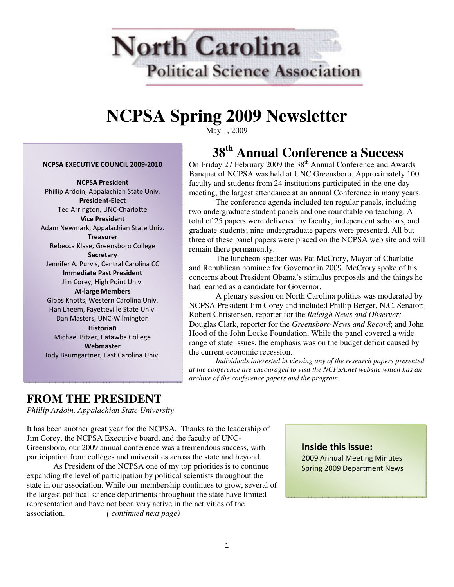

# **NCPSA Spring 2009 Newsletter**

May 1, 2009

# **38th Annual Conference a Success**

On Friday 27 February 2009 the 38<sup>th</sup> Annual Conference and Awards Banquet of NCPSA was held at UNC Greensboro. Approximately 100 faculty and students from 24 institutions participated in the one-day meeting, the largest attendance at an annual Conference in many years.

 The conference agenda included ten regular panels, including two undergraduate student panels and one roundtable on teaching. A total of 25 papers were delivered by faculty, independent scholars, and graduate students; nine undergraduate papers were presented. All but three of these panel papers were placed on the NCPSA web site and will remain there permanently.

 The luncheon speaker was Pat McCrory, Mayor of Charlotte and Republican nominee for Governor in 2009. McCrory spoke of his concerns about President Obama's stimulus proposals and the things he had learned as a candidate for Governor.

 A plenary session on North Carolina politics was moderated by NCPSA President Jim Corey and included Phillip Berger, N.C. Senator; Robert Christensen, reporter for the *Raleigh News and Observer;*  Douglas Clark, reporter for the *Greensboro News and Record*; and John Hood of the John Locke Foundation. While the panel covered a wide range of state issues, the emphasis was on the budget deficit caused by the current economic recession.

*Individuals interested in viewing any of the research papers presented at the conference are encouraged to visit the NCPSA.net website which has an archive of the conference papers and the program.* 

#### NCPSA EXECUTIVE COUNCIL 2009-2010

NCPSA President Phillip Ardoin, Appalachian State Univ. President-Elect Ted Arrington, UNC-Charlotte Vice President Adam Newmark, Appalachian State Univ. **Treasurer** Rebecca Klase, Greensboro College **Secretary** Jennifer A. Purvis, Central Carolina CC Immediate Past President Jim Corey, High Point Univ. At-large Members Gibbs Knotts, Western Carolina Univ. Han Lheem, Fayetteville State Univ. Dan Masters, UNC-Wilmington Historian Michael Bitzer, Catawba College Webmaster Jody Baumgartner, East Carolina Univ.

### **FROM THE PRESIDENT**

*Phillip Ardoin, Appalachian State University* 

It has been another great year for the NCPSA. Thanks to the leadership of Jim Corey, the NCPSA Executive board, and the faculty of UNC-Greensboro, our 2009 annual conference was a tremendous success, with participation from colleges and universities across the state and beyond.

As President of the NCPSA one of my top priorities is to continue expanding the level of participation by political scientists throughout the state in our association. While our membership continues to grow, several of the largest political science departments throughout the state have limited representation and have not been very active in the activities of the association. *( continued next page)*

### Inside this issue:

2009 Annual Meeting Minutes Spring 2009 Department News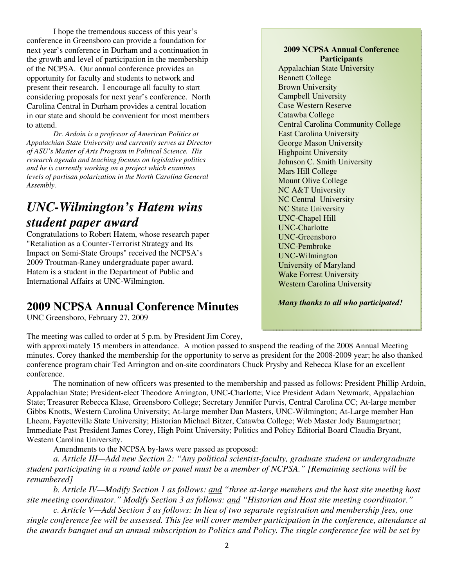I hope the tremendous success of this year's conference in Greensboro can provide a foundation for next year's conference in Durham and a continuation in the growth and level of participation in the membership of the NCPSA. Our annual conference provides an opportunity for faculty and students to network and present their research. I encourage all faculty to start considering proposals for next year's conference. North Carolina Central in Durham provides a central location in our state and should be convenient for most members to attend.

*Dr. Ardoin is a professor of American Politics at Appalachian State University and currently serves as Director of ASU's Master of Arts Program in Political Science. His research agenda and teaching focuses on legislative politics and he is currently working on a project which examines levels of partisan polarization in the North Carolina General Assembly.* 

## *UNC-Wilmington's Hatem wins student paper award*

Congratulations to Robert Hatem, whose research paper "Retaliation as a Counter-Terrorist Strategy and Its Impact on Semi-State Groups" received the NCPSA's 2009 Troutman-Raney undergraduate paper award. Hatem is a student in the Department of Public and International Affairs at UNC-Wilmington.

### **2009 NCPSA Annual Conference Minutes**

UNC Greensboro, February 27, 2009

#### The meeting was called to order at 5 p.m. by President Jim Corey,

#### with approximately 15 members in attendance. A motion passed to suspend the reading of the 2008 Annual Meeting minutes. Corey thanked the membership for the opportunity to serve as president for the 2008-2009 year; he also thanked conference program chair Ted Arrington and on-site coordinators Chuck Prysby and Rebecca Klase for an excellent conference.

The nomination of new officers was presented to the membership and passed as follows: President Phillip Ardoin, Appalachian State; President-elect Theodore Arrington, UNC-Charlotte; Vice President Adam Newmark, Appalachian State; Treasurer Rebecca Klase, Greensboro College; Secretary Jennifer Purvis, Central Carolina CC; At-large member Gibbs Knotts, Western Carolina University; At-large member Dan Masters, UNC-Wilmington; At-Large member Han Lheem, Fayetteville State University; Historian Michael Bitzer, Catawba College; Web Master Jody Baumgartner; Immediate Past President James Corey, High Point University; Politics and Policy Editorial Board Claudia Bryant, Western Carolina University.

Amendments to the NCPSA by-laws were passed as proposed:

*a. Article III—Add new Section 2: "Any political scientist-faculty, graduate student or undergraduate student participating in a round table or panel must be a member of NCPSA." [Remaining sections will be renumbered]* 

*b. Article IV—Modify Section 1 as follows: and "three at-large members and the host site meeting host site meeting coordinator." Modify Section 3 as follows: and "Historian and Host site meeting coordinator."* 

*c. Article V—Add Section 3 as follows: In lieu of two separate registration and membership fees, one single conference fee will be assessed. This fee will cover member participation in the conference, attendance at the awards banquet and an annual subscription to Politics and Policy. The single conference fee will be set by* 

#### **2009 NCPSA Annual Conference Participants**

Appalachian State University Bennett College Brown University Campbell University Case Western Reserve Catawba College Central Carolina Community College East Carolina University George Mason University Highpoint University Johnson C. Smith University Mars Hill College Mount Olive College NC A&T University NC Central University NC State University UNC-Chapel Hill UNC-Charlotte UNC-Greensboro UNC-Pembroke UNC-Wilmington University of Maryland Wake Forrest University Western Carolina University

*Many thanks to all who participated!*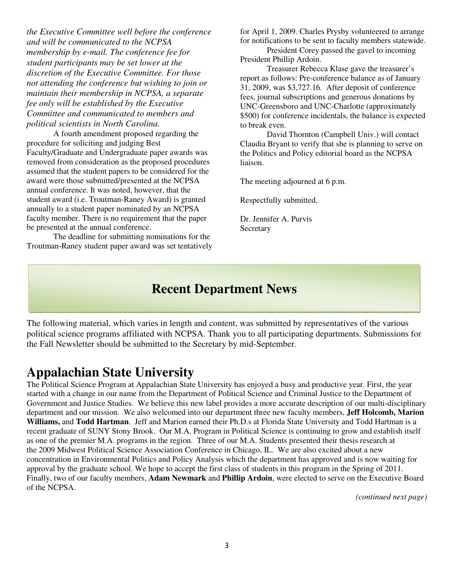*the Executive Committee well before the conference and will be communicated to the NCPSA membership by e-mail. The conference fee for student participants may be set lower at the discretion of the Executive Committee. For those not attending the conference but wishing to join or maintain their membership in NCPSA, a separate fee only will be established by the Executive Committee and communicated to members and political scientists in North Carolina.* 

A fourth amendment proposed regarding the procedure for soliciting and judging Best Faculty/Graduate and Undergraduate paper awards was removed from consideration as the proposed procedures assumed that the student papers to be considered for the award were those submitted/presented at the NCPSA annual conference. It was noted, however, that the student award (i.e. Troutman-Raney Award) is granted annually to a student paper nominated by an NCPSA faculty member. There is no requirement that the paper be presented at the annual conference.

The deadline for submitting nominations for the Troutman-Raney student paper award was set tentatively

for April 1, 2009. Charles Prysby volunteered to arrange for notifications to be sent to faculty members statewide.

President Corey passed the gavel to incoming President Phillip Ardoin.

Treasurer Rebecca Klase gave the treasurer's report as follows: Pre-conference balance as of January 31, 2009, was \$3,727.16. After deposit of conference fees, journal subscriptions and generous donations by UNC-Greensboro and UNC-Charlotte (approximately \$500) for conference incidentals, the balance is expected to break even.

 David Thornton (Campbell Univ.) will contact Claudia Bryant to verify that she is planning to serve on the Politics and Policy editorial board as the NCPSA liaison.

The meeting adjourned at 6 p.m.

Respectfully submitted,

Dr. Jennifer A. Purvis Secretary

### **Recent Department News**

The following material, which varies in length and content, was submitted by representatives of the various political science programs affiliated with NCPSA. Thank you to all participating departments. Submissions for the Fall Newsletter should be submitted to the Secretary by mid-September.

### **Appalachian State University**

The Political Science Program at Appalachian State University has enjoyed a busy and productive year. First, the year started with a change in our name from the Department of Political Science and Criminal Justice to the Department of Government and Justice Studies. We believe this new label provides a more accurate description of our multi-disciplinary department and our mission. We also welcomed into our department three new faculty members, **Jeff Holcomb, Marion Williams,** and **Todd Hartman**. Jeff and Marion earned their Ph.D.s at Florida State University and Todd Hartman is a recent graduate of SUNY Stony Brook. Our M.A. Program in Political Science is continuing to grow and establish itself as one of the premier M.A. programs in the region. Three of our M.A. Students presented their thesis research at the 2009 Midwest Political Science Association Conference in Chicago, IL. We are also excited about a new concentration in Environmental Politics and Policy Analysis which the department has approved and is now waiting for approval by the graduate school. We hope to accept the first class of students in this program in the Spring of 2011. Finally, two of our faculty members, **Adam Newmark** and **Phillip Ardoin**, were elected to serve on the Executive Board of the NCPSA.

*(continued next page)*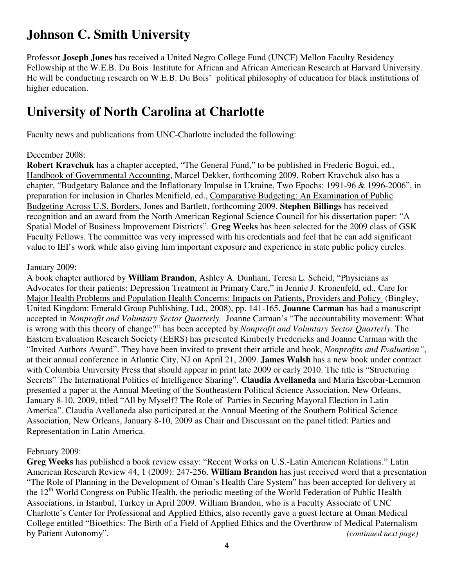# **Johnson C. Smith University**

Professor **Joseph Jones** has received a United Negro College Fund (UNCF) Mellon Faculty Residency Fellowship at the W.E.B. Du Bois Institute for African and African American Research at Harvard University. He will be conducting research on W.E.B. Du Bois' political philosophy of education for black institutions of higher education.

# **University of North Carolina at Charlotte**

Faculty news and publications from UNC-Charlotte included the following:

### December 2008:

**Robert Kravchuk** has a chapter accepted, "The General Fund," to be published in Frederic Bogui, ed., Handbook of Governmental Accounting, Marcel Dekker, forthcoming 2009. Robert Kravchuk also has a chapter, "Budgetary Balance and the Inflationary Impulse in Ukraine, Two Epochs: 1991-96 & 1996-2006", in preparation for inclusion in Charles Menifield, ed., Comparative Budgeting: An Examination of Public Budgeting Across U.S. Borders, Jones and Bartlett, forthcoming 2009. **Stephen Billings** has received recognition and an award from the North American Regional Science Council for his dissertation paper: "A Spatial Model of Business Improvement Districts". **Greg Weeks** has been selected for the 2009 class of GSK Faculty Fellows. The committee was very impressed with his credentials and feel that he can add significant value to IEI's work while also giving him important exposure and experience in state public policy circles.

### January 2009:

A book chapter authored by **William Brandon**, Ashley A. Dunham, Teresa L. Scheid, "Physicians as Advocates for their patients: Depression Treatment in Primary Care," in Jennie J. Kronenfeld, ed., Care for Major Health Problems and Population Health Concerns: Impacts on Patients, Providers and Policy (Bingley, United Kingdom: Emerald Group Publishing, Ltd., 2008), pp. 141-165. **Joanne Carman** has had a manuscript accepted in *Nonprofit and Voluntary Sector Quarterly.* Joanne Carman's "The accountability movement: What is wrong with this theory of change?" has been accepted by *Nonprofit and Voluntary Sector Quarterly.* The Eastern Evaluation Research Society (EERS) has presented Kimberly Fredericks and Joanne Carman with the "Invited Authors Award". They have been invited to present their article and book, *Nonprofits and Evaluation"*, at their annual conference in Atlantic City, NJ on April 21, 2009. **James Walsh** has a new book under contract with Columbia University Press that should appear in print late 2009 or early 2010. The title is "Structuring Secrets" The International Politics of Intelligence Sharing". **Claudia Avellaneda** and Maria Escobar-Lemmon presented a paper at the Annual Meeting of the Southeastern Political Science Association, New Orleans, January 8-10, 2009, titled "All by Myself? The Role of Parties in Securing Mayoral Election in Latin America". Claudia Avellaneda also participated at the Annual Meeting of the Southern Political Science Association, New Orleans, January 8-10, 2009 as Chair and Discussant on the panel titled: Parties and Representation in Latin America.

### February 2009:

**Greg Weeks** has published a book review essay: "Recent Works on U.S.-Latin American Relations." Latin American Research Review 44, 1 (2009): 247-256. **William Brandon** has just received word that a presentation "The Role of Planning in the Development of Oman's Health Care System" has been accepted for delivery at the 12<sup>th</sup> World Congress on Public Health, the periodic meeting of the World Federation of Public Health Associations, in Istanbul, Turkey in April 2009. William Brandon, who is a Faculty Associate of UNC Charlotte's Center for Professional and Applied Ethics, also recently gave a guest lecture at Oman Medical College entitled "Bioethics: The Birth of a Field of Applied Ethics and the Overthrow of Medical Paternalism by Patient Autonomy". *(continued next page)*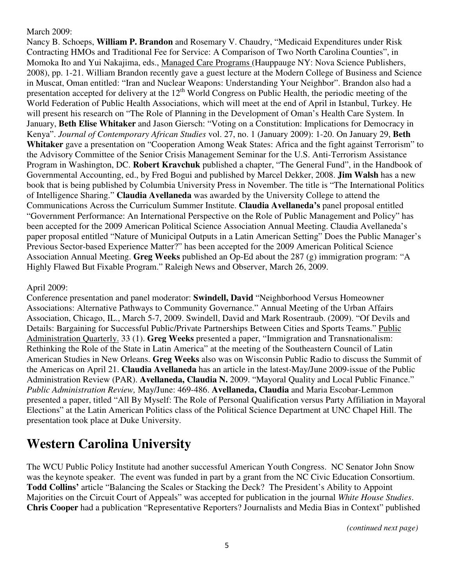### March 2009:

Nancy B. Schoeps, **William P. Brandon** and Rosemary V. Chaudry, "Medicaid Expenditures under Risk Contracting HMOs and Traditional Fee for Service: A Comparison of Two North Carolina Counties", in Momoka Ito and Yui Nakajima, eds., Managed Care Programs (Hauppauge NY: Nova Science Publishers, 2008), pp. 1-21. William Brandon recently gave a guest lecture at the Modern College of Business and Science in Muscat, Oman entitled: "Iran and Nuclear Weapons: Understanding Your Neighbor". Brandon also had a presentation accepted for delivery at the 12<sup>th</sup> World Congress on Public Health, the periodic meeting of the World Federation of Public Health Associations, which will meet at the end of April in Istanbul, Turkey. He will present his research on "The Role of Planning in the Development of Oman's Health Care System. In January, **Beth Elise Whitaker** and Jason Giersch: "Voting on a Constitution: Implications for Democracy in Kenya". *Journal of Contemporary African Studies* vol. 27, no. 1 (January 2009): 1-20. On January 29, **Beth Whitaker** gave a presentation on "Cooperation Among Weak States: Africa and the fight against Terrorism" to the Advisory Committee of the Senior Crisis Management Seminar for the U.S. Anti-Terrorism Assistance Program in Washington, DC. **Robert Kravchuk** published a chapter, "The General Fund", in the Handbook of Governmental Accounting, ed., by Fred Bogui and published by Marcel Dekker, 2008. **Jim Walsh** has a new book that is being published by Columbia University Press in November. The title is "The International Politics of Intelligence Sharing." **Claudia Avellaneda** was awarded by the University College to attend the Communications Across the Curriculum Summer Institute. **Claudia Avellaneda's** panel proposal entitled "Government Performance: An International Perspective on the Role of Public Management and Policy" has been accepted for the 2009 American Political Science Association Annual Meeting. Claudia Avellaneda's paper proposal entitled "Nature of Municipal Outputs in a Latin American Setting" Does the Public Manager's Previous Sector-based Experience Matter?" has been accepted for the 2009 American Political Science Association Annual Meeting. **Greg Weeks** published an Op-Ed about the 287 (g) immigration program: "A Highly Flawed But Fixable Program." Raleigh News and Observer, March 26, 2009.

### April 2009:

Conference presentation and panel moderator: **Swindell, David** "Neighborhood Versus Homeowner Associations: Alternative Pathways to Community Governance." Annual Meeting of the Urban Affairs Association, Chicago, IL., March 5-7, 2009. Swindell, David and Mark Rosentraub. (2009). "Of Devils and Details: Bargaining for Successful Public/Private Partnerships Between Cities and Sports Teams." Public Administration Quarterly. 33 (1). **Greg Weeks** presented a paper, "Immigration and Transnationalism: Rethinking the Role of the State in Latin America" at the meeting of the Southeastern Council of Latin American Studies in New Orleans. **Greg Weeks** also was on Wisconsin Public Radio to discuss the Summit of the Americas on April 21. **Claudia Avellaneda** has an article in the latest-May/June 2009-issue of the Public Administration Review (PAR). **Avellaneda, Claudia N.** 2009. "Mayoral Quality and Local Public Finance." *Public Administration Review,* May/June: 469-486. **Avellaneda, Claudia** and Maria Escobar-Lemmon presented a paper, titled "All By Myself: The Role of Personal Qualification versus Party Affiliation in Mayoral Elections" at the Latin American Politics class of the Political Science Department at UNC Chapel Hill. The presentation took place at Duke University.

## **Western Carolina University**

The WCU Public Policy Institute had another successful American Youth Congress. NC Senator John Snow was the keynote speaker. The event was funded in part by a grant from the NC Civic Education Consortium. **Todd Collins'** article "Balancing the Scales or Stacking the Deck? The President's Ability to Appoint Majorities on the Circuit Court of Appeals" was accepted for publication in the journal *White House Studies*. **Chris Cooper** had a publication "Representative Reporters? Journalists and Media Bias in Context" published